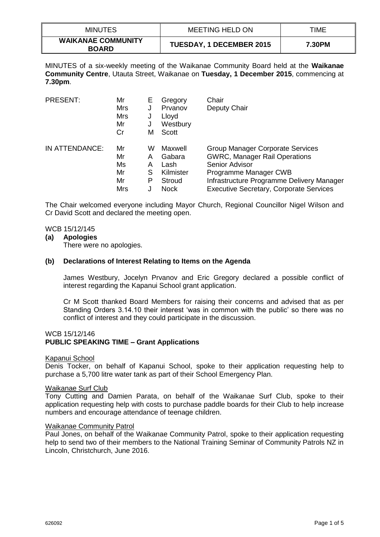| <b>MINUTES</b>                            | MEETING HELD ON                 | TIME   |
|-------------------------------------------|---------------------------------|--------|
| <b>WAIKANAE COMMUNITY</b><br><b>BOARD</b> | <b>TUESDAY, 1 DECEMBER 2015</b> | 7.30PM |

MINUTES of a six-weekly meeting of the Waikanae Community Board held at the **Waikanae Community Centre**, Utauta Street, Waikanae on **Tuesday, 1 December 2015**, commencing at **7.30pm**.

| <b>PRESENT:</b> | Mr         | Е | Gregory     | Chair                                          |
|-----------------|------------|---|-------------|------------------------------------------------|
|                 | Mrs        | J | Prvanov     | Deputy Chair                                   |
|                 | Mrs        | J | Lloyd       |                                                |
|                 | Mr         | J | Westbury    |                                                |
|                 | Cr         | м | Scott       |                                                |
| IN ATTENDANCE:  | Mr         | W | Maxwell     | Group Manager Corporate Services               |
|                 | Mr         | Α | Gabara      | <b>GWRC, Manager Rail Operations</b>           |
|                 | Ms         | А | Lash        | Senior Advisor                                 |
|                 | Mr         | S | Kilmister   | Programme Manager CWB                          |
|                 | Mr         | Р | Stroud      | Infrastructure Programme Delivery Manager      |
|                 | <b>Mrs</b> |   | <b>Nock</b> | <b>Executive Secretary, Corporate Services</b> |

The Chair welcomed everyone including Mayor Church, Regional Councillor Nigel Wilson and Cr David Scott and declared the meeting open.

### WCB 15/12/145

### **(a) Apologies**

There were no apologies.

### **(b) Declarations of Interest Relating to Items on the Agenda**

James Westbury, Jocelyn Prvanov and Eric Gregory declared a possible conflict of interest regarding the Kapanui School grant application.

Cr M Scott thanked Board Members for raising their concerns and advised that as per Standing Orders 3.14.10 their interest 'was in common with the public' so there was no conflict of interest and they could participate in the discussion.

### WCB 15/12/146 **PUBLIC SPEAKING TIME – Grant Applications**

### Kapanui School

Denis Tocker, on behalf of Kapanui School, spoke to their application requesting help to purchase a 5,700 litre water tank as part of their School Emergency Plan.

### Waikanae Surf Club

Tony Cutting and Damien Parata, on behalf of the Waikanae Surf Club, spoke to their application requesting help with costs to purchase paddle boards for their Club to help increase numbers and encourage attendance of teenage children.

### Waikanae Community Patrol

Paul Jones, on behalf of the Waikanae Community Patrol, spoke to their application requesting help to send two of their members to the National Training Seminar of Community Patrols NZ in Lincoln, Christchurch, June 2016.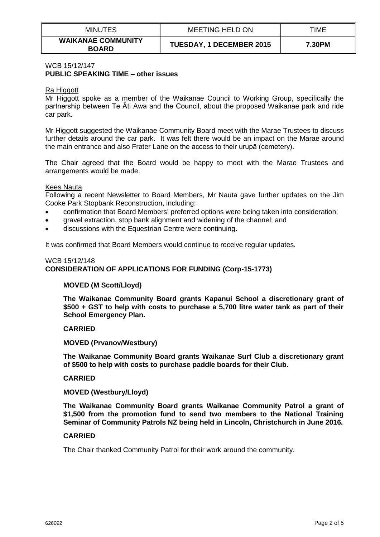| <b>MINUTES</b>                            | MEETING HELD ON                 | TIME   |
|-------------------------------------------|---------------------------------|--------|
| <b>WAIKANAE COMMUNITY</b><br><b>BOARD</b> | <b>TUESDAY, 1 DECEMBER 2015</b> | 7.30PM |

### WCB 15/12/147 **PUBLIC SPEAKING TIME – other issues**

# Ra Higgott

Mr Higgott spoke as a member of the Waikanae Council to Working Group, specifically the partnership between Te Āti Awa and the Council, about the proposed Waikanae park and ride car park.

Mr Higgott suggested the Waikanae Community Board meet with the Marae Trustees to discuss further details around the car park. It was felt there would be an impact on the Marae around the main entrance and also Frater Lane on the access to their urupā (cemetery).

The Chair agreed that the Board would be happy to meet with the Marae Trustees and arrangements would be made.

### Kees Nauta

Following a recent Newsletter to Board Members, Mr Nauta gave further updates on the Jim Cooke Park Stopbank Reconstruction, including:

- confirmation that Board Members' preferred options were being taken into consideration;
- gravel extraction, stop bank alignment and widening of the channel; and
- discussions with the Equestrian Centre were continuing.

It was confirmed that Board Members would continue to receive regular updates.

# WCB 15/12/148 **CONSIDERATION OF APPLICATIONS FOR FUNDING (Corp-15-1773)**

### **MOVED (M Scott/Lloyd)**

**The Waikanae Community Board grants Kapanui School a discretionary grant of \$500 + GST to help with costs to purchase a 5,700 litre water tank as part of their School Emergency Plan.**

### **CARRIED**

### **MOVED (Prvanov/Westbury)**

**The Waikanae Community Board grants Waikanae Surf Club a discretionary grant of \$500 to help with costs to purchase paddle boards for their Club.**

### **CARRIED**

### **MOVED (Westbury/Lloyd)**

**The Waikanae Community Board grants Waikanae Community Patrol a grant of \$1,500 from the promotion fund to send two members to the National Training Seminar of Community Patrols NZ being held in Lincoln, Christchurch in June 2016.**

### **CARRIED**

The Chair thanked Community Patrol for their work around the community.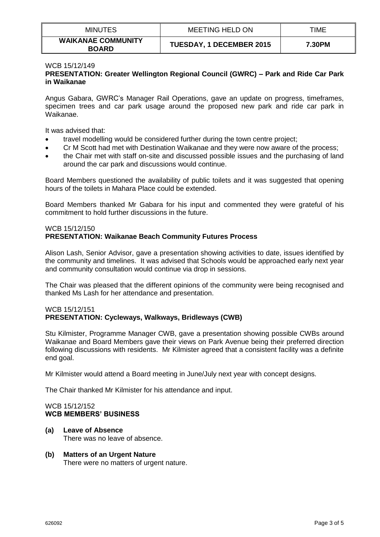| <b>MINUTES</b>                            | MEETING HELD ON                 | TIME   |
|-------------------------------------------|---------------------------------|--------|
| <b>WAIKANAE COMMUNITY</b><br><b>BOARD</b> | <b>TUESDAY, 1 DECEMBER 2015</b> | 7.30PM |

### WCB 15/12/149

# **PRESENTATION: Greater Wellington Regional Council (GWRC) – Park and Ride Car Park in Waikanae**

Angus Gabara, GWRC's Manager Rail Operations, gave an update on progress, timeframes, specimen trees and car park usage around the proposed new park and ride car park in Waikanae.

It was advised that:

- travel modelling would be considered further during the town centre project;
- Cr M Scott had met with Destination Waikanae and they were now aware of the process;
- the Chair met with staff on-site and discussed possible issues and the purchasing of land around the car park and discussions would continue.

Board Members questioned the availability of public toilets and it was suggested that opening hours of the toilets in Mahara Place could be extended.

Board Members thanked Mr Gabara for his input and commented they were grateful of his commitment to hold further discussions in the future.

# WCB 15/12/150

# **PRESENTATION: Waikanae Beach Community Futures Process**

Alison Lash, Senior Advisor, gave a presentation showing activities to date, issues identified by the community and timelines. It was advised that Schools would be approached early next year and community consultation would continue via drop in sessions.

The Chair was pleased that the different opinions of the community were being recognised and thanked Ms Lash for her attendance and presentation.

### WCB 15/12/151 **PRESENTATION: Cycleways, Walkways, Bridleways (CWB)**

Stu Kilmister, Programme Manager CWB, gave a presentation showing possible CWBs around Waikanae and Board Members gave their views on Park Avenue being their preferred direction following discussions with residents. Mr Kilmister agreed that a consistent facility was a definite end goal.

Mr Kilmister would attend a Board meeting in June/July next year with concept designs.

The Chair thanked Mr Kilmister for his attendance and input.

### WCB 15/12/152 **WCB MEMBERS' BUSINESS**

- **(a) Leave of Absence** There was no leave of absence.
- **(b) Matters of an Urgent Nature** There were no matters of urgent nature.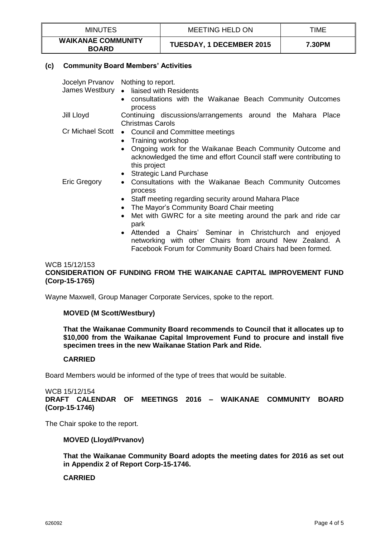| <b>MINUTES</b>                            | MEETING HELD ON                 | TIME   |
|-------------------------------------------|---------------------------------|--------|
| <b>WAIKANAE COMMUNITY</b><br><b>BOARD</b> | <b>TUESDAY, 1 DECEMBER 2015</b> | 7.30PM |

# **(c) Community Board Members' Activities**

|                     | Jocelyn Prvanov Nothing to report.<br>James Westbury • liaised with Residents<br>consultations with the Waikanae Beach Community Outcomes<br>$\bullet$<br>process                                                                                                                                                                                                                                                                                                                          |
|---------------------|--------------------------------------------------------------------------------------------------------------------------------------------------------------------------------------------------------------------------------------------------------------------------------------------------------------------------------------------------------------------------------------------------------------------------------------------------------------------------------------------|
| Jill Lloyd          | Continuing discussions/arrangements around the Mahara Place<br><b>Christmas Carols</b>                                                                                                                                                                                                                                                                                                                                                                                                     |
| Cr Michael Scott    | • Council and Committee meetings<br>• Training workshop<br>Ongoing work for the Waikanae Beach Community Outcome and<br>$\bullet$<br>acknowledged the time and effort Council staff were contributing to<br>this project<br><b>Strategic Land Purchase</b><br>$\bullet$                                                                                                                                                                                                                    |
| <b>Eric Gregory</b> | Consultations with the Waikanae Beach Community Outcomes<br>$\bullet$<br>process<br>Staff meeting regarding security around Mahara Place<br>$\bullet$<br>The Mayor's Community Board Chair meeting<br>$\bullet$<br>Met with GWRC for a site meeting around the park and ride car<br>$\bullet$<br>park<br>• Attended a Chairs' Seminar in Christchurch and enjoyed<br>networking with other Chairs from around New Zealand. A<br>Facebook Forum for Community Board Chairs had been formed. |

# WCB 15/12/153 **CONSIDERATION OF FUNDING FROM THE WAIKANAE CAPITAL IMPROVEMENT FUND (Corp-15-1765)**

Wayne Maxwell, Group Manager Corporate Services, spoke to the report.

# **MOVED (M Scott/Westbury)**

**That the Waikanae Community Board recommends to Council that it allocates up to \$10,000 from the Waikanae Capital Improvement Fund to procure and install five specimen trees in the new Waikanae Station Park and Ride.**

### **CARRIED**

Board Members would be informed of the type of trees that would be suitable.

WCB 15/12/154 **DRAFT CALENDAR OF MEETINGS 2016 – WAIKANAE COMMUNITY BOARD (Corp-15-1746)**

The Chair spoke to the report.

### **MOVED (Lloyd/Prvanov)**

**That the Waikanae Community Board adopts the meeting dates for 2016 as set out in Appendix 2 of Report Corp-15-1746.**

## **CARRIED**